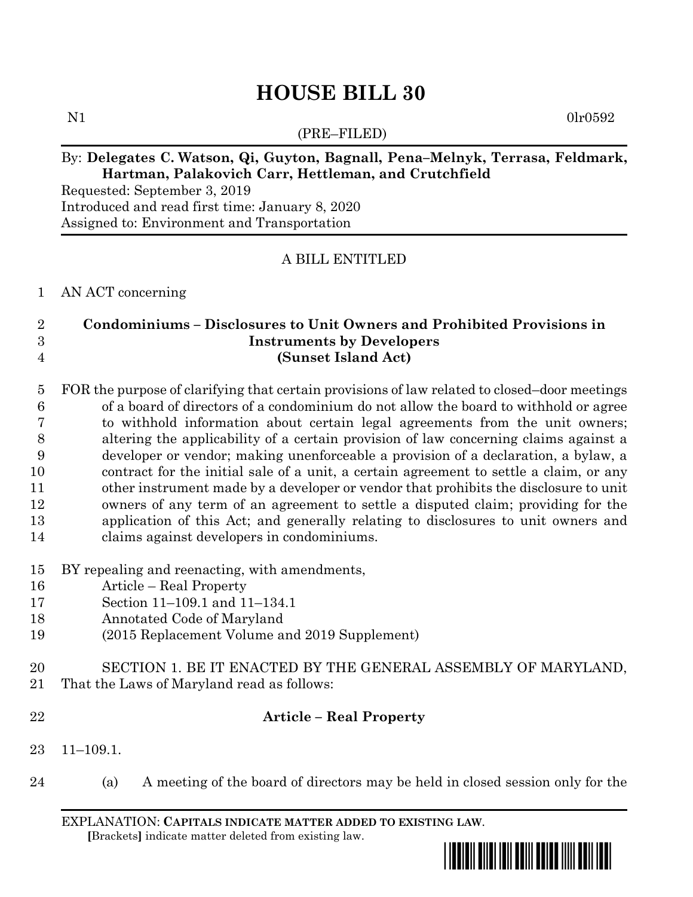# **HOUSE BILL 30**

(PRE–FILED)

 $N1$  0lr0592

## By: **Delegates C. Watson, Qi, Guyton, Bagnall, Pena–Melnyk, Terrasa, Feldmark, Hartman, Palakovich Carr, Hettleman, and Crutchfield**

Requested: September 3, 2019 Introduced and read first time: January 8, 2020 Assigned to: Environment and Transportation

## A BILL ENTITLED

#### AN ACT concerning

# **Condominiums – Disclosures to Unit Owners and Prohibited Provisions in Instruments by Developers (Sunset Island Act)**

 FOR the purpose of clarifying that certain provisions of law related to closed–door meetings of a board of directors of a condominium do not allow the board to withhold or agree to withhold information about certain legal agreements from the unit owners; altering the applicability of a certain provision of law concerning claims against a developer or vendor; making unenforceable a provision of a declaration, a bylaw, a contract for the initial sale of a unit, a certain agreement to settle a claim, or any other instrument made by a developer or vendor that prohibits the disclosure to unit owners of any term of an agreement to settle a disputed claim; providing for the application of this Act; and generally relating to disclosures to unit owners and claims against developers in condominiums.

- BY repealing and reenacting, with amendments,
- Article Real Property
- Section 11–109.1 and 11–134.1
- Annotated Code of Maryland
- (2015 Replacement Volume and 2019 Supplement)
- SECTION 1. BE IT ENACTED BY THE GENERAL ASSEMBLY OF MARYLAND,
- That the Laws of Maryland read as follows:
- 

#### **Article – Real Property**

- 11–109.1.
- (a) A meeting of the board of directors may be held in closed session only for the

EXPLANATION: **CAPITALS INDICATE MATTER ADDED TO EXISTING LAW**.  **[**Brackets**]** indicate matter deleted from existing law.

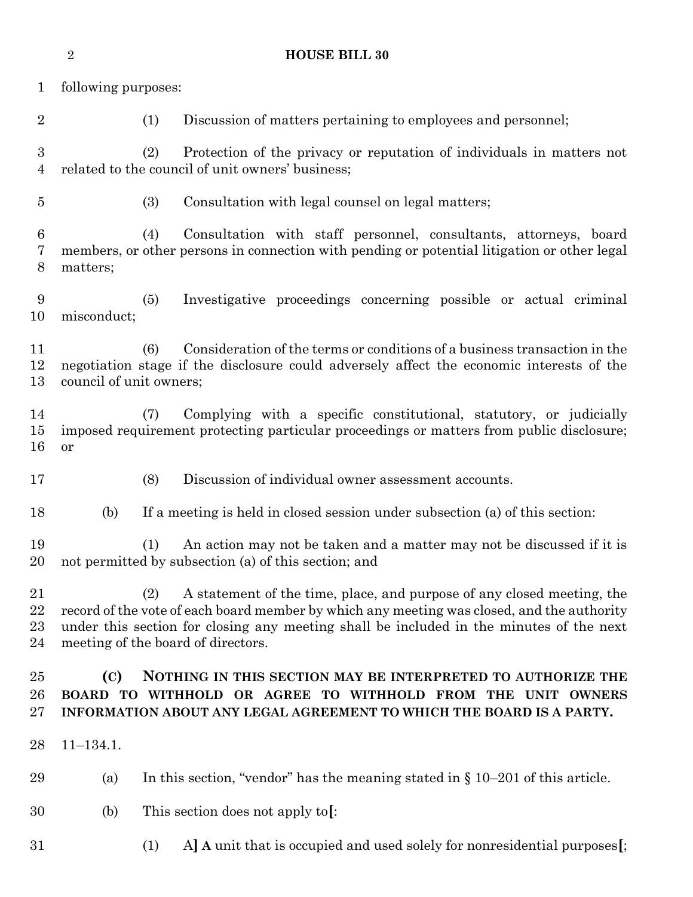|                                    | $\sqrt{2}$                                                                                                                                                                                                                                                                                                   | <b>HOUSE BILL 30</b>                                                                                                                                                         |
|------------------------------------|--------------------------------------------------------------------------------------------------------------------------------------------------------------------------------------------------------------------------------------------------------------------------------------------------------------|------------------------------------------------------------------------------------------------------------------------------------------------------------------------------|
| $\mathbf{1}$                       | following purposes:                                                                                                                                                                                                                                                                                          |                                                                                                                                                                              |
| $\overline{2}$                     |                                                                                                                                                                                                                                                                                                              | (1)<br>Discussion of matters pertaining to employees and personnel;                                                                                                          |
| $\boldsymbol{3}$<br>$\overline{4}$ |                                                                                                                                                                                                                                                                                                              | Protection of the privacy or reputation of individuals in matters not<br>(2)<br>related to the council of unit owners' business;                                             |
| $\bf 5$                            |                                                                                                                                                                                                                                                                                                              | (3)<br>Consultation with legal counsel on legal matters;                                                                                                                     |
| $\boldsymbol{6}$<br>7<br>8         | matters;                                                                                                                                                                                                                                                                                                     | Consultation with staff personnel, consultants, attorneys, board<br>(4)<br>members, or other persons in connection with pending or potential litigation or other legal       |
| 9<br>10                            | misconduct;                                                                                                                                                                                                                                                                                                  | (5)<br>Investigative proceedings concerning possible or actual criminal                                                                                                      |
| 11<br>12<br>13                     | council of unit owners;                                                                                                                                                                                                                                                                                      | Consideration of the terms or conditions of a business transaction in the<br>(6)<br>negotiation stage if the disclosure could adversely affect the economic interests of the |
| 14<br>$15\,$<br>16                 | or                                                                                                                                                                                                                                                                                                           | Complying with a specific constitutional, statutory, or judicially<br>(7)<br>imposed requirement protecting particular proceedings or matters from public disclosure;        |
| 17                                 |                                                                                                                                                                                                                                                                                                              | (8)<br>Discussion of individual owner assessment accounts.                                                                                                                   |
| 18                                 | (b)                                                                                                                                                                                                                                                                                                          | If a meeting is held in closed session under subsection (a) of this section:                                                                                                 |
| 19<br>20                           |                                                                                                                                                                                                                                                                                                              | (1)<br>An action may not be taken and a matter may not be discussed if it is<br>not permitted by subsection (a) of this section; and                                         |
| 21<br>22<br>23<br>24               | A statement of the time, place, and purpose of any closed meeting, the<br>(2)<br>record of the vote of each board member by which any meeting was closed, and the authority<br>under this section for closing any meeting shall be included in the minutes of the next<br>meeting of the board of directors. |                                                                                                                                                                              |
| 25<br>26<br>$27\,$                 | (C)<br>NOTHING IN THIS SECTION MAY BE INTERPRETED TO AUTHORIZE THE<br>BOARD TO WITHHOLD OR AGREE TO WITHHOLD FROM THE UNIT OWNERS<br>INFORMATION ABOUT ANY LEGAL AGREEMENT TO WHICH THE BOARD IS A PARTY.                                                                                                    |                                                                                                                                                                              |
| 28                                 | $11 - 134.1.$                                                                                                                                                                                                                                                                                                |                                                                                                                                                                              |
| 29                                 | (a)                                                                                                                                                                                                                                                                                                          | In this section, "vendor" has the meaning stated in $\S 10-201$ of this article.                                                                                             |
| 30                                 | (b)                                                                                                                                                                                                                                                                                                          | This section does not apply to.                                                                                                                                              |
| $31\,$                             |                                                                                                                                                                                                                                                                                                              | A] A unit that is occupied and used solely for nonresidential purposes[;<br>(1)                                                                                              |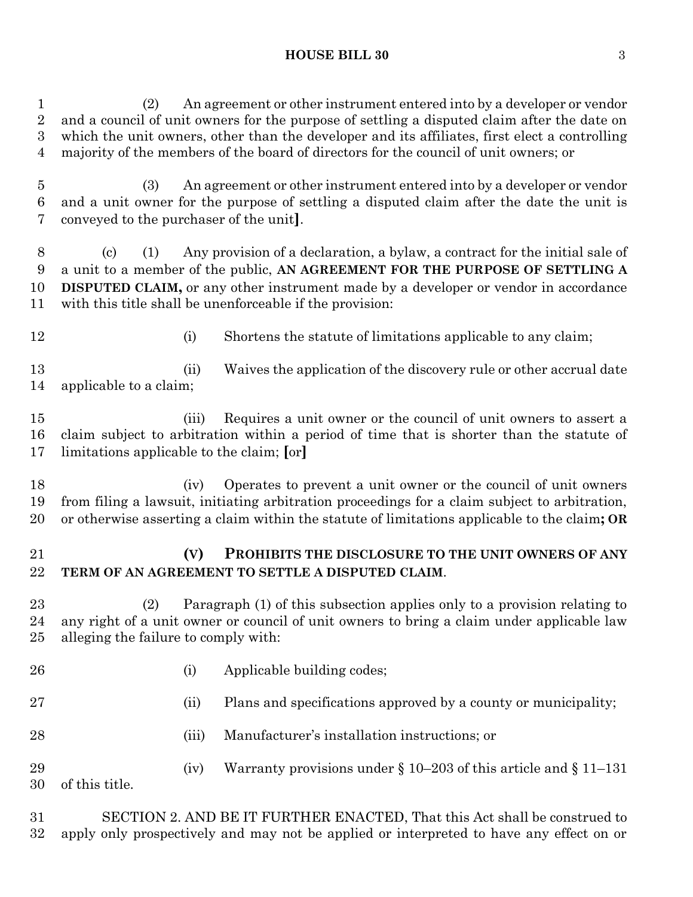#### **HOUSE BILL 30** 3

 (2) An agreement or other instrument entered into by a developer or vendor and a council of unit owners for the purpose of settling a disputed claim after the date on which the unit owners, other than the developer and its affiliates, first elect a controlling majority of the members of the board of directors for the council of unit owners; or

 (3) An agreement or other instrument entered into by a developer or vendor and a unit owner for the purpose of settling a disputed claim after the date the unit is conveyed to the purchaser of the unit**]**.

 (c) (1) Any provision of a declaration, a bylaw, a contract for the initial sale of a unit to a member of the public, **AN AGREEMENT FOR THE PURPOSE OF SETTLING A DISPUTED CLAIM,** or any other instrument made by a developer or vendor in accordance with this title shall be unenforceable if the provision:

12 (i) Shortens the statute of limitations applicable to any claim;

13 (ii) Waives the application of the discovery rule or other accrual date applicable to a claim;

 (iii) Requires a unit owner or the council of unit owners to assert a claim subject to arbitration within a period of time that is shorter than the statute of limitations applicable to the claim; **[**or**]**

 (iv) Operates to prevent a unit owner or the council of unit owners from filing a lawsuit, initiating arbitration proceedings for a claim subject to arbitration, or otherwise asserting a claim within the statute of limitations applicable to the claim**; OR**

# **(V) PROHIBITS THE DISCLOSURE TO THE UNIT OWNERS OF ANY TERM OF AN AGREEMENT TO SETTLE A DISPUTED CLAIM**.

 (2) Paragraph (1) of this subsection applies only to a provision relating to any right of a unit owner or council of unit owners to bring a claim under applicable law alleging the failure to comply with:

26 (i) Applicable building codes; 27 (ii) Plans and specifications approved by a county or municipality; (iii) Manufacturer's installation instructions; or 29 (iv) Warranty provisions under  $\S 10-203$  of this article and  $\S 11-131$ of this title.

 SECTION 2. AND BE IT FURTHER ENACTED, That this Act shall be construed to apply only prospectively and may not be applied or interpreted to have any effect on or